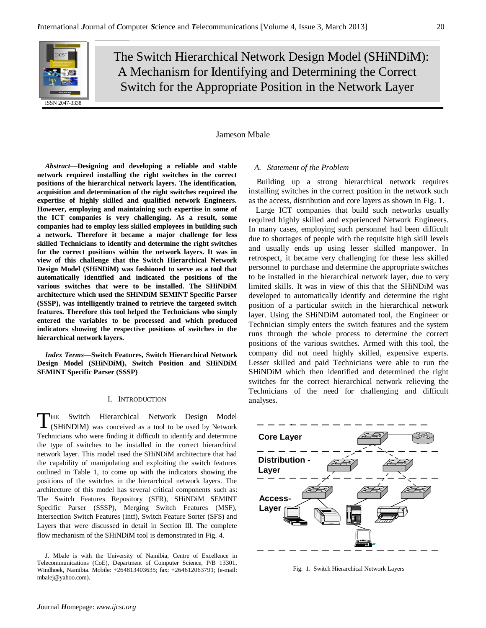

The Switch Hierarchical Network Design Model (SHiNDiM): A Mechanism for Identifying and Determining the Correct Switch for the Appropriate Position in the Network Layer

# Jameson Mbale

*Abstract***—Designing and developing a reliable and stable network required installing the right switches in the correct positions of the hierarchical network layers. The identification, acquisition and determination of the right switches required the expertise of highly skilled and qualified network Engineers. However, employing and maintaining such expertise in some of the ICT companies is very challenging. As a result, some companies had to employ less skilled employees in building such a network. Therefore it became a major challenge for less skilled Technicians to identify and determine the right switches for the correct positions within the network layers. It was in view of this challenge that the Switch Hierarchical Network Design Model (SHiNDiM) was fashioned to serve as a tool that automatically identified and indicated the positions of the various switches that were to be installed. The SHiNDiM architecture which used the SHiNDiM SEMINT Specific Parser (SSSP), was intelligently trained to retrieve the targeted switch features. Therefore this tool helped the Technicians who simply entered the variables to be processed and which produced indicators showing the respective positions of switches in the hierarchical network layers.**

*Index Terms***—Switch Features, Switch Hierarchical Network Design Model (SHiNDiM), Switch Position and SHiNDiM SEMINT Specific Parser (SSSP)**

#### I. INTRODUCTION

HE Switch Hierarchical Network Design Model (SHiNDiM) was conceived as a tool to be used by Network Technicians who were finding it difficult to identify and determine the type of switches to be installed in the correct hierarchical network layer. This model used the SHiNDiM architecture that had the capability of manipulating and exploiting the switch features outlined in Table 1, to come up with the indicators showing the positions of the switches in the hierarchical network layers. The architecture of this model has several critical components such as: The Switch Features Repository (SFR), SHiNDiM SEMINT Specific Parser (SSSP), Merging Switch Features (MSF), Intersection Switch Features (intf), Switch Feature Sorter (SFS) and Layers that were discussed in detail in Section III. The complete flow mechanism of the SHiNDiM tool is demonstrated in Fig. 4. T

### *A. Statement of the Problem*

Building up a strong hierarchical network requires installing switches in the correct position in the network such as the access, distribution and core layers as shown in Fig. 1.

Large ICT companies that build such networks usually required highly skilled and experienced Network Engineers. In many cases, employing such personnel had been difficult due to shortages of people with the requisite high skill levels and usually ends up using lesser skilled manpower. In retrospect, it became very challenging for these less skilled personnel to purchase and determine the appropriate switches to be installed in the hierarchical network layer, due to very limited skills. It was in view of this that the SHiNDiM was developed to automatically identify and determine the right position of a particular switch in the hierarchical network layer. Using the SHiNDiM automated tool, the Engineer or Technician simply enters the switch features and the system runs through the whole process to determine the correct positions of the various switches. Armed with this tool, the company did not need highly skilled, expensive experts. Lesser skilled and paid Technicians were able to run the SHiNDiM which then identified and determined the right switches for the correct hierarchical network relieving the Technicians of the need for challenging and difficult analyses.



Fig. 1. Switch Hierarchical Network Layers

J. Mbale is with the University of Namibia, Centre of Excellence in Telecommunications (CoE), Department of Computer Science, P/B 13301, Windhoek, Namibia. Mobile: +264813403635; fax: +264612063791; (e-mail: mbalej@yahoo.com).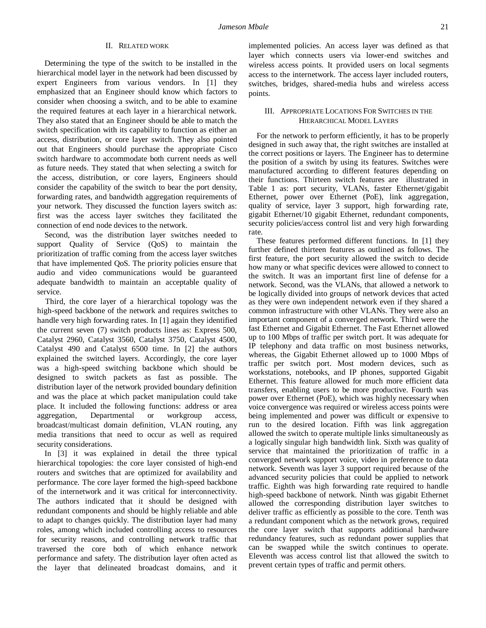## II. RELATED WORK

Determining the type of the switch to be installed in the hierarchical model layer in the network had been discussed by expert Engineers from various vendors. In [1] they emphasized that an Engineer should know which factors to consider when choosing a switch, and to be able to examine the required features at each layer in a hierarchical network. They also stated that an Engineer should be able to match the switch specification with its capability to function as either an access, distribution, or core layer switch. They also pointed out that Engineers should purchase the appropriate Cisco switch hardware to accommodate both current needs as well as future needs. They stated that when selecting a switch for the access, distribution, or core layers, Engineers should consider the capability of the switch to bear the port density, forwarding rates, and bandwidth aggregation requirements of your network. They discussed the function layers switch as: first was the access layer switches they facilitated the connection of end node devices to the network.

Second, was the distribution layer switches needed to support Quality of Service (QoS) to maintain the prioritization of traffic coming from the access layer switches that have implemented QoS. The priority policies ensure that audio and video communications would be guaranteed adequate bandwidth to maintain an acceptable quality of service.

Third, the core layer of a hierarchical topology was the high-speed backbone of the network and requires switches to handle very high forwarding rates. In [1] again they identified the current seven (7) switch products lines as: Express 500, Catalyst 2960, Catalyst 3560, Catalyst 3750, Catalyst 4500, Catalyst 490 and Catalyst 6500 time. In [2] the authors explained the switched layers. Accordingly, the core layer was a high-speed switching backbone which should be designed to switch packets as fast as possible. The distribution layer of the network provided boundary definition and was the place at which packet manipulation could take place. It included the following functions: address or area aggregation, Departmental or workgroup access, broadcast/multicast domain definition, VLAN routing, any media transitions that need to occur as well as required security considerations.

In [3] it was explained in detail the three typical hierarchical topologies: the core layer consisted of high-end routers and switches that are optimized for availability and performance. The core layer formed the high-speed backbone of the internetwork and it was critical for interconnectivity. The authors indicated that it should be designed with redundant components and should be highly reliable and able to adapt to changes quickly. The distribution layer had many roles, among which included controlling access to resources for security reasons, and controlling network traffic that traversed the core both of which enhance network performance and safety. The distribution layer often acted as the layer that delineated broadcast domains, and it

implemented policies. An access layer was defined as that layer which connects users via lower-end switches and wireless access points. It provided users on local segments access to the internetwork. The access layer included routers, switches, bridges, shared-media hubs and wireless access points.

## III. APPROPRIATE LOCATIONS FOR SWITCHES IN THE HIERARCHICAL MODEL LAYERS

For the network to perform efficiently, it has to be properly designed in such away that, the right switches are installed at the correct positions or layers. The Engineer has to determine the position of a switch by using its features. Switches were manufactured according to different features depending on their functions. Thirteen switch features are illustrated in Table 1 as: port security, VLANs, faster Ethernet/gigabit Ethernet, power over Ethernet (PoE), link aggregation, quality of service, layer 3 support, high forwarding rate, gigabit Ethernet/10 gigabit Ethernet, redundant components, security policies/access control list and very high forwarding rate.

These features performed different functions. In [1] they further defined thirteen features as outlined as follows. The first feature, the port security allowed the switch to decide how many or what specific devices were allowed to connect to the switch. It was an important first line of defense for a network. Second, was the VLANs, that allowed a network to be logically divided into groups of network devices that acted as they were own independent network even if they shared a common infrastructure with other VLANs. They were also an important component of a converged network. Third were the fast Ethernet and Gigabit Ethernet. The Fast Ethernet allowed up to 100 Mbps of traffic per switch port. It was adequate for IP telephony and data traffic on most business networks, whereas, the Gigabit Ethernet allowed up to 1000 Mbps of traffic per switch port. Most modern devices, such as workstations, notebooks, and IP phones, supported Gigabit Ethernet. This feature allowed for much more efficient data transfers, enabling users to be more productive. Fourth was power over Ethernet (PoE), which was highly necessary when voice convergence was required or wireless access points were being implemented and power was difficult or expensive to run to the desired location. Fifth was link aggregation allowed the switch to operate multiple links simultaneously as a logically singular high bandwidth link. Sixth was quality of service that maintained the prioritization of traffic in a converged network support voice, video in preference to data network. Seventh was layer 3 support required because of the advanced security policies that could be applied to network traffic. Eighth was high forwarding rate required to handle high-speed backbone of network. Ninth was gigabit Ethernet allowed the corresponding distribution layer switches to deliver traffic as efficiently as possible to the core. Tenth was a redundant component which as the network grows, required the core layer switch that supports additional hardware redundancy features, such as redundant power supplies that can be swapped while the switch continues to operate. Eleventh was access control list that allowed the switch to prevent certain types of traffic and permit others.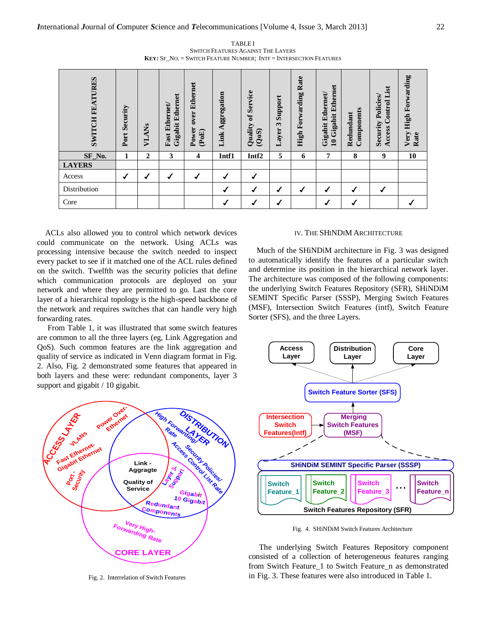| FEATURES<br><b>SWITCH</b> | Security<br>Port | VLANS | Ethernet<br>Ethernet<br>Gigabit<br>Fast | Ethernet<br>over<br>Power<br>(PoE) | ggregation<br>◀<br>Link | Service<br>$\mathfrak{b}$<br>Quality<br>(QoS) | Support<br>$\mathbf{c}$<br>Layer | Rate<br>Forwarding<br>High | <b>Ethernet</b><br><b>Ethernet</b><br>Gigabit<br>Gigabit<br>$\mathbf{a}$ | Components<br>Redundant | List<br>Policies<br>ontrol<br>Security<br>Access | Forwarding<br>High<br>Very<br>Rate |
|---------------------------|------------------|-------|-----------------------------------------|------------------------------------|-------------------------|-----------------------------------------------|----------------------------------|----------------------------|--------------------------------------------------------------------------|-------------------------|--------------------------------------------------|------------------------------------|
| SF_No.                    | 1                | 2     | 3                                       | 4                                  | Intf1                   | Intf <sub>2</sub>                             | 5                                | 6                          | 7                                                                        | 8                       | 9                                                | 10                                 |
| <b>LAYERS</b>             |                  |       |                                         |                                    |                         |                                               |                                  |                            |                                                                          |                         |                                                  |                                    |
| Access                    | √                |       | √                                       | $\checkmark$                       |                         |                                               |                                  |                            |                                                                          |                         |                                                  |                                    |
| Distribution              |                  |       |                                         |                                    | √                       | √                                             | √                                | √                          | √                                                                        | √                       |                                                  |                                    |
| Core                      |                  |       |                                         |                                    |                         |                                               |                                  |                            | V                                                                        | √                       |                                                  |                                    |

TABLE I SWITCH FEATURES AGAINST THE LAYERS **KEY:** SF\_NO. = SWITCH FEATURE NUMBER; INTF = INTERSECTION FEATURES

ACLs also allowed you to control which network devices could communicate on the network. Using ACLs was processing intensive because the switch needed to inspect every packet to see if it matched one of the ACL rules defined on the switch. Twelfth was the security policies that define which communication protocols are deployed on your network and where they are permitted to go. Last the core layer of a hierarchical topology is the high-speed backbone of the network and requires switches that can handle very high forwarding rates.

 From Table 1, it was illustrated that some switch features are common to all the three layers (eg, Link Aggregation and QoS). Such common features are the link aggregation and quality of service as indicated in Venn diagram format in Fig. 2. Also, Fig. 2 demonstrated some features that appeared in both layers and these were: redundant components, layer 3 support and gigabit / 10 gigabit.



Fig. 2. Interrelation of Switch Features

## IV. THE SHINDIM ARCHITECTURE

Much of the SHiNDiM architecture in Fig. 3 was designed to automatically identify the features of a particular switch and determine its position in the hierarchical network layer. The architecture was composed of the following components: the underlying Switch Features Repository (SFR), SHiNDiM SEMINT Specific Parser (SSSP), Merging Switch Features (MSF), Intersection Switch Features (intf), Switch Feature Sorter (SFS), and the three Layers.



Fig. 4. SHiNDiM Switch Features Architecture

 The underlying Switch Features Repository component consisted of a collection of heterogeneous features ranging from Switch Feature\_1 to Switch Feature\_n as demonstrated in Fig. 3. These features were also introduced in Table 1.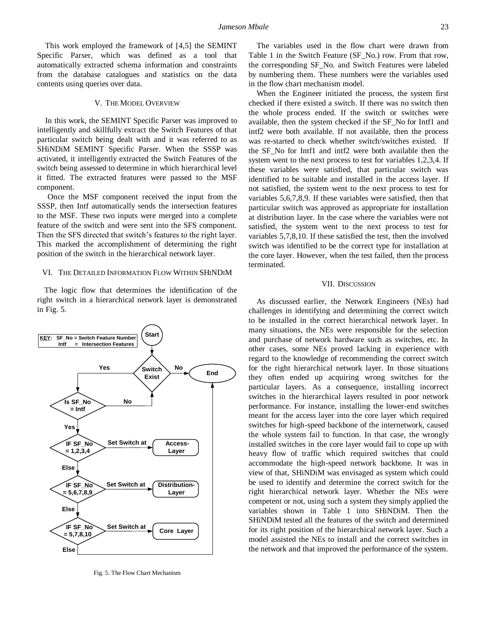This work employed the framework of [4,5] the SEMINT Specific Parser, which was defined as a tool that automatically extracted schema information and constraints from the database catalogues and statistics on the data contents using queries over data.

### V. THE MODEL OVERVIEW

In this work, the SEMINT Specific Parser was improved to intelligently and skillfully extract the Switch Features of that particular switch being dealt with and it was referred to as SHiNDiM SEMINT Specific Parser. When the SSSP was activated, it intelligently extracted the Switch Features of the switch being assessed to determine in which hierarchical level it fitted. The extracted features were passed to the MSF component.

 Once the MSF component received the input from the SSSP, then Intf automatically sends the intersection features to the MSF. These two inputs were merged into a complete feature of the switch and were sent into the SFS component. Then the SFS directed that switch's features to the right layer. This marked the accomplishment of determining the right position of the switch in the hierarchical network layer.

#### VI. THE DETAILED INFORMATION FLOW WITHIN SHINDIM

The logic flow that determines the identification of the right switch in a hierarchical network layer is demonstrated in Fig. 5.



Fig. 5. The Flow Chart Mechanism

The variables used in the flow chart were drawn from Table 1 in the Switch Feature (SF\_No.) row. From that row, the corresponding SF\_No. and Switch Features were labeled by numbering them. These numbers were the variables used in the flow chart mechanism model.

When the Engineer initiated the process, the system first checked if there existed a switch. If there was no switch then the whole process ended. If the switch or switches were available, then the system checked if the SF\_No for Intf1 and intf2 were both available. If not available, then the process was re-started to check whether switch/switches existed. If the SF\_No for Intf1 and intf2 were both available then the system went to the next process to test for variables 1,2,3,4. If these variables were satisfied, that particular switch was identified to be suitable and installed in the access layer. If not satisfied, the system went to the next process to test for variables 5,6,7,8,9. If these variables were satisfied, then that particular switch was approved as appropriate for installation at distribution layer. In the case where the variables were not satisfied, the system went to the next process to test for variables 5,7,8,10. If these satisfied the test, then the involved switch was identified to be the correct type for installation at the core layer. However, when the test failed, then the process terminated.

### VII. DISCUSSION

As discussed earlier, the Network Engineers (NEs) had challenges in identifying and determining the correct switch to be installed in the correct hierarchical network layer. In many situations, the NEs were responsible for the selection and purchase of network hardware such as switches, etc. In other cases, some NEs proved lacking in experience with regard to the knowledge of recommending the correct switch for the right hierarchical network layer. In those situations they often ended up acquiring wrong switches for the particular layers. As a consequence, installing incorrect switches in the hierarchical layers resulted in poor network performance. For instance, installing the lower-end switches meant for the access layer into the core layer which required switches for high-speed backbone of the internetwork, caused the whole system fail to function. In that case, the wrongly installed switches in the core layer would fail to cope up with heavy flow of traffic which required switches that could accommodate the high-speed network backbone. It was in view of that, SHiNDiM was envisaged as system which could be used to identify and determine the correct switch for the right hierarchical network layer. Whether the NEs were competent or not, using such a system they simply applied the variables shown in Table 1 into SHiNDiM. Then the SHiNDiM tested all the features of the switch and determined for its right position of the hierarchical network layer. Such a model assisted the NEs to install and the correct switches in the network and that improved the performance of the system.